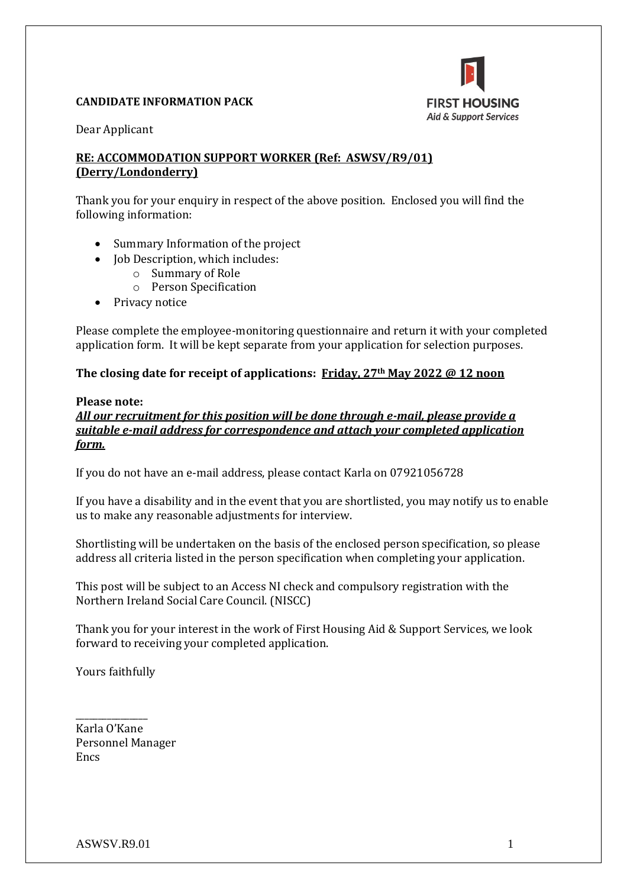

#### **CANDIDATE INFORMATION PACK**

Dear Applicant

## **RE: ACCOMMODATION SUPPORT WORKER (Ref: ASWSV/R9/01) (Derry/Londonderry)**

Thank you for your enquiry in respect of the above position. Enclosed you will find the following information:

- Summary Information of the project
- Job Description, which includes:
	- o Summary of Role
	- o Person Specification
- Privacy notice

Please complete the employee-monitoring questionnaire and return it with your completed application form. It will be kept separate from your application for selection purposes.

**The closing date for receipt of applications: Friday, 27th May 2022 @ 12 noon**

#### **Please note:**

*All our recruitment for this position will be done through e-mail, please provide a suitable e-mail address for correspondence and attach your completed application form.* 

If you do not have an e-mail address, please contact Karla on 07921056728

If you have a disability and in the event that you are shortlisted, you may notify us to enable us to make any reasonable adjustments for interview.

Shortlisting will be undertaken on the basis of the enclosed person specification, so please address all criteria listed in the person specification when completing your application.

This post will be subject to an Access NI check and compulsory registration with the Northern Ireland Social Care Council. (NISCC)

Thank you for your interest in the work of First Housing Aid & Support Services, we look forward to receiving your completed application.

Yours faithfully

\_\_\_\_\_\_\_\_\_\_\_\_\_\_\_\_

Karla O'Kane Personnel Manager Encs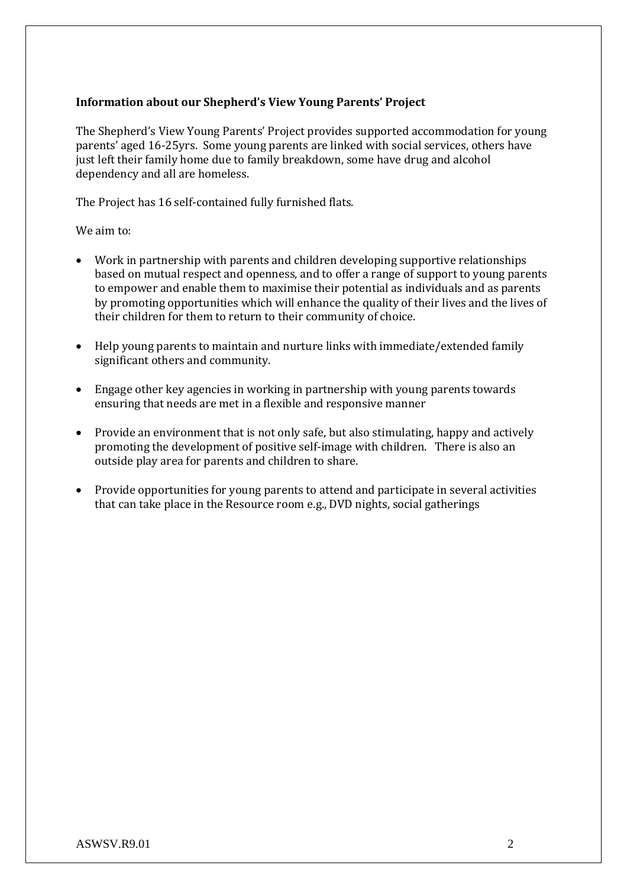## **Information about our Shepherd's View Young Parents' Project**

The Shepherd's View Young Parents' Project provides supported accommodation for young parents' aged 16-25yrs. Some young parents are linked with social services, others have just left their family home due to family breakdown, some have drug and alcohol dependency and all are homeless.

The Project has 16 self-contained fully furnished flats.

We aim to:

- Work in partnership with parents and children developing supportive relationships based on mutual respect and openness, and to offer a range of support to young parents to empower and enable them to maximise their potential as individuals and as parents by promoting opportunities which will enhance the quality of their lives and the lives of their children for them to return to their community of choice.
- Help young parents to maintain and nurture links with immediate/extended family significant others and community.
- Engage other key agencies in working in partnership with young parents towards ensuring that needs are met in a flexible and responsive manner
- Provide an environment that is not only safe, but also stimulating, happy and actively promoting the development of positive self-image with children. There is also an outside play area for parents and children to share.
- Provide opportunities for young parents to attend and participate in several activities that can take place in the Resource room e.g., DVD nights, social gatherings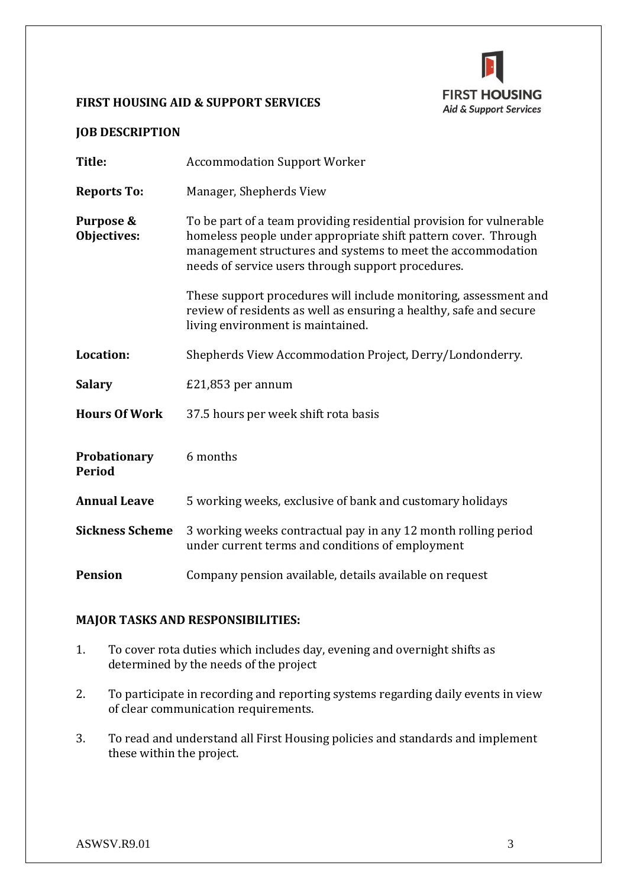# **FIRST HOUSING** Aid & Support Services

## **FIRST HOUSING AID & SUPPORT SERVICES**

## **JOB DESCRIPTION**

| Title:                        | <b>Accommodation Support Worker</b>                                                                                                                                                                                                                        |  |  |
|-------------------------------|------------------------------------------------------------------------------------------------------------------------------------------------------------------------------------------------------------------------------------------------------------|--|--|
| <b>Reports To:</b>            | Manager, Shepherds View                                                                                                                                                                                                                                    |  |  |
| Purpose &<br>Objectives:      | To be part of a team providing residential provision for vulnerable<br>homeless people under appropriate shift pattern cover. Through<br>management structures and systems to meet the accommodation<br>needs of service users through support procedures. |  |  |
|                               | These support procedures will include monitoring, assessment and<br>review of residents as well as ensuring a healthy, safe and secure<br>living environment is maintained.                                                                                |  |  |
| Location:                     | Shepherds View Accommodation Project, Derry/Londonderry.                                                                                                                                                                                                   |  |  |
| <b>Salary</b>                 | $£21,853$ per annum                                                                                                                                                                                                                                        |  |  |
| <b>Hours Of Work</b>          | 37.5 hours per week shift rota basis                                                                                                                                                                                                                       |  |  |
| Probationary<br><b>Period</b> | 6 months                                                                                                                                                                                                                                                   |  |  |
| <b>Annual Leave</b>           | 5 working weeks, exclusive of bank and customary holidays                                                                                                                                                                                                  |  |  |
| <b>Sickness Scheme</b>        | 3 working weeks contractual pay in any 12 month rolling period<br>under current terms and conditions of employment                                                                                                                                         |  |  |
| <b>Pension</b>                | Company pension available, details available on request                                                                                                                                                                                                    |  |  |

## **MAJOR TASKS AND RESPONSIBILITIES:**

- 1. To cover rota duties which includes day, evening and overnight shifts as determined by the needs of the project
- 2. To participate in recording and reporting systems regarding daily events in view of clear communication requirements.
- 3. To read and understand all First Housing policies and standards and implement these within the project.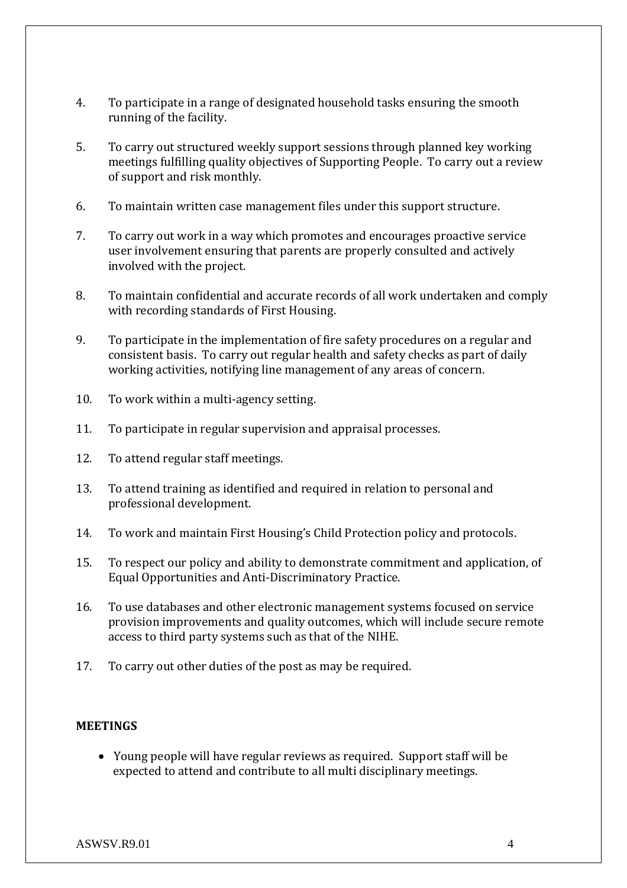- 4. To participate in a range of designated household tasks ensuring the smooth running of the facility.
- 5. To carry out structured weekly support sessions through planned key working meetings fulfilling quality objectives of Supporting People. To carry out a review of support and risk monthly.
- 6. To maintain written case management files under this support structure.
- 7. To carry out work in a way which promotes and encourages proactive service user involvement ensuring that parents are properly consulted and actively involved with the project.
- 8. To maintain confidential and accurate records of all work undertaken and comply with recording standards of First Housing.
- 9. To participate in the implementation of fire safety procedures on a regular and consistent basis. To carry out regular health and safety checks as part of daily working activities, notifying line management of any areas of concern.
- 10. To work within a multi-agency setting.
- 11. To participate in regular supervision and appraisal processes.
- 12. To attend regular staff meetings.
- 13. To attend training as identified and required in relation to personal and professional development.
- 14. To work and maintain First Housing's Child Protection policy and protocols.
- 15. To respect our policy and ability to demonstrate commitment and application, of Equal Opportunities and Anti-Discriminatory Practice.
- 16. To use databases and other electronic management systems focused on service provision improvements and quality outcomes, which will include secure remote access to third party systems such as that of the NIHE.
- 17. To carry out other duties of the post as may be required.

#### **MEETINGS**

• Young people will have regular reviews as required. Support staff will be expected to attend and contribute to all multi disciplinary meetings.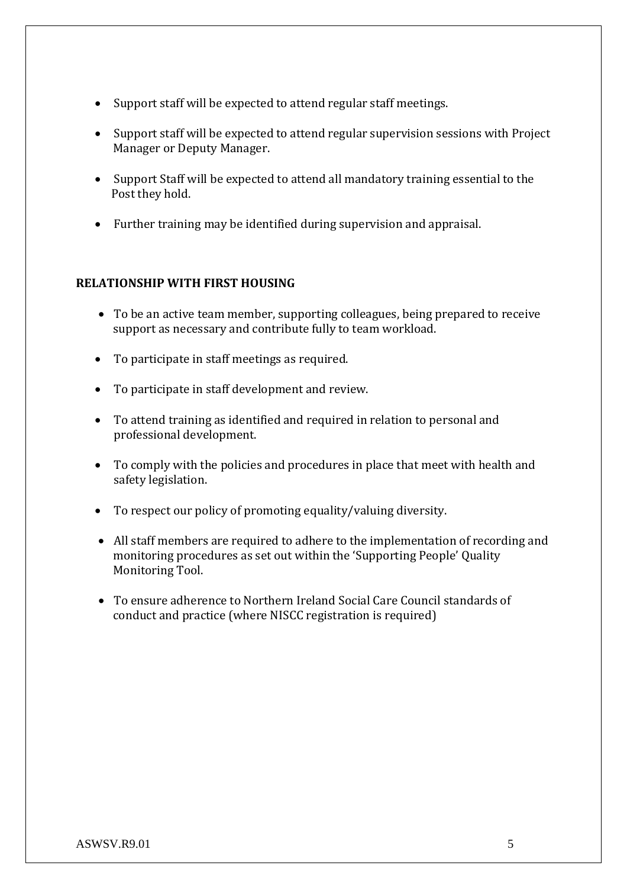- Support staff will be expected to attend regular staff meetings.
- Support staff will be expected to attend regular supervision sessions with Project Manager or Deputy Manager.
- Support Staff will be expected to attend all mandatory training essential to the Post they hold.
- Further training may be identified during supervision and appraisal.

## **RELATIONSHIP WITH FIRST HOUSING**

- To be an active team member, supporting colleagues, being prepared to receive support as necessary and contribute fully to team workload.
- To participate in staff meetings as required.
- To participate in staff development and review.
- To attend training as identified and required in relation to personal and professional development.
- To comply with the policies and procedures in place that meet with health and safety legislation.
- To respect our policy of promoting equality/valuing diversity.
- All staff members are required to adhere to the implementation of recording and monitoring procedures as set out within the 'Supporting People' Quality Monitoring Tool.
- To ensure adherence to Northern Ireland Social Care Council standards of conduct and practice (where NISCC registration is required)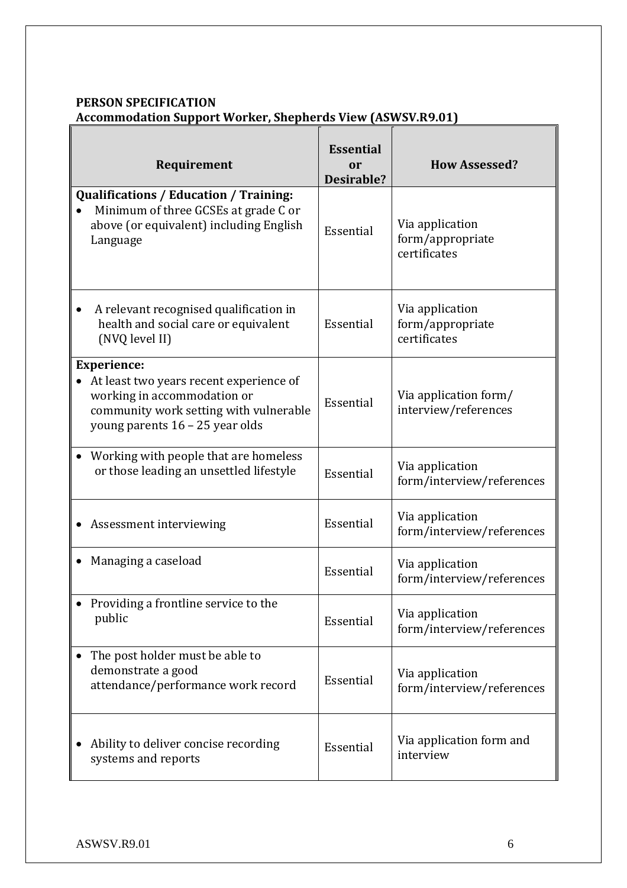## **PERSON SPECIFICATION Accommodation Support Worker, Shepherds View (ASWSV.R9.01)**

| Requirement                                                                                                                                                               | <b>Essential</b><br>or<br>Desirable? | <b>How Assessed?</b>                                |
|---------------------------------------------------------------------------------------------------------------------------------------------------------------------------|--------------------------------------|-----------------------------------------------------|
| <b>Qualifications / Education / Training:</b><br>Minimum of three GCSEs at grade C or<br>above (or equivalent) including English<br>Language                              | Essential                            | Via application<br>form/appropriate<br>certificates |
| A relevant recognised qualification in<br>health and social care or equivalent<br>(NVQ level II)                                                                          | Essential                            | Via application<br>form/appropriate<br>certificates |
| <b>Experience:</b><br>At least two years recent experience of<br>working in accommodation or<br>community work setting with vulnerable<br>young parents 16 - 25 year olds | Essential                            | Via application form/<br>interview/references       |
| Working with people that are homeless<br>or those leading an unsettled lifestyle                                                                                          | Essential                            | Via application<br>form/interview/references        |
| Assessment interviewing                                                                                                                                                   | Essential                            | Via application<br>form/interview/references        |
| Managing a caseload                                                                                                                                                       | Essential                            | Via application<br>form/interview/references        |
| Providing a frontline service to the<br>public                                                                                                                            | Essential                            | Via application<br>form/interview/references        |
| The post holder must be able to<br>demonstrate a good<br>attendance/performance work record                                                                               | Essential                            | Via application<br>form/interview/references        |
| Ability to deliver concise recording<br>systems and reports                                                                                                               | Essential                            | Via application form and<br>interview               |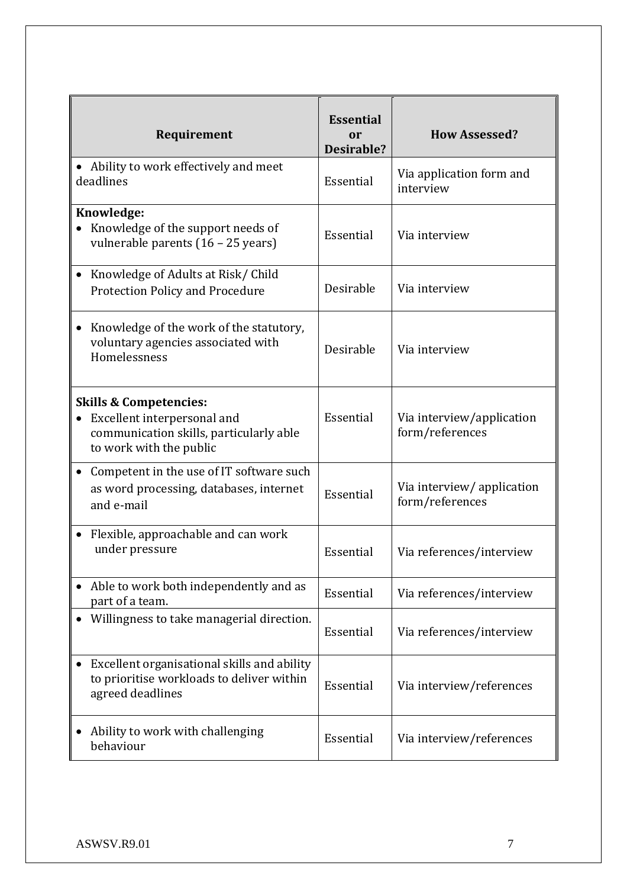| Requirement                                                                                                                            | <b>Essential</b><br>or<br>Desirable? | <b>How Assessed?</b>                         |
|----------------------------------------------------------------------------------------------------------------------------------------|--------------------------------------|----------------------------------------------|
| • Ability to work effectively and meet<br>deadlines                                                                                    | Essential                            | Via application form and<br>interview        |
| Knowledge:<br>Knowledge of the support needs of<br>vulnerable parents (16 - 25 years)                                                  | Essential                            | Via interview                                |
| Knowledge of Adults at Risk/Child<br><b>Protection Policy and Procedure</b>                                                            | Desirable                            | Via interview                                |
| Knowledge of the work of the statutory,<br>voluntary agencies associated with<br>Homelessness                                          | Desirable                            | Via interview                                |
| <b>Skills &amp; Competencies:</b><br>Excellent interpersonal and<br>communication skills, particularly able<br>to work with the public | Essential                            | Via interview/application<br>form/references |
| Competent in the use of IT software such<br>as word processing, databases, internet<br>and e-mail                                      | Essential                            | Via interview/application<br>form/references |
| Flexible, approachable and can work<br>under pressure                                                                                  | Essential                            | Via references/interview                     |
| Able to work both independently and as<br>part of a team.                                                                              | Essential                            | Via references/interview                     |
| Willingness to take managerial direction.                                                                                              | Essential                            | Via references/interview                     |
| Excellent organisational skills and ability<br>to prioritise workloads to deliver within<br>agreed deadlines                           | Essential                            | Via interview/references                     |
| Ability to work with challenging<br>behaviour                                                                                          | Essential                            | Via interview/references                     |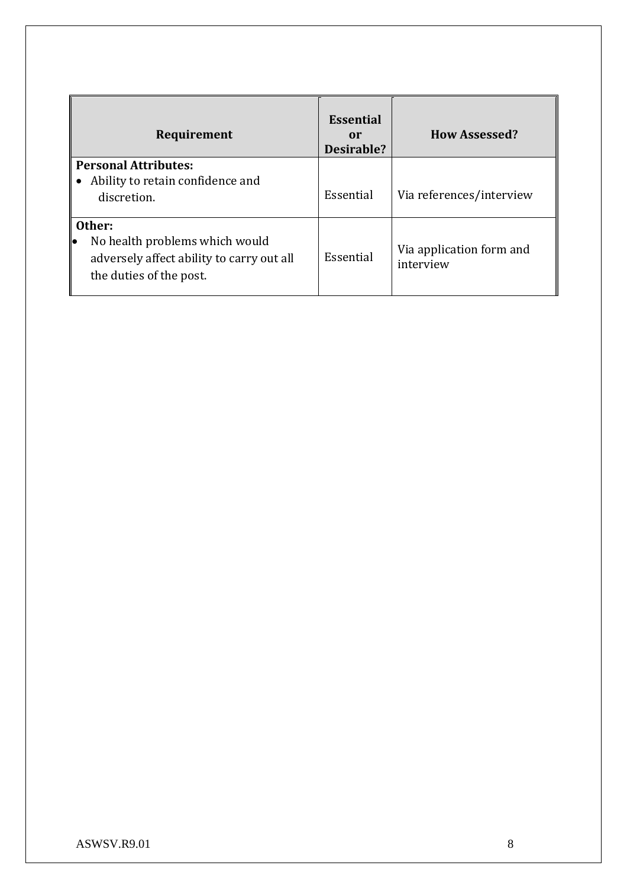| Requirement                                                                                                            | <b>Essential</b><br>or<br>Desirable? | <b>How Assessed?</b>                  |
|------------------------------------------------------------------------------------------------------------------------|--------------------------------------|---------------------------------------|
| <b>Personal Attributes:</b><br>Ability to retain confidence and<br>discretion.                                         | Essential                            | Via references/interview              |
| Other:<br>No health problems which would<br>le<br>adversely affect ability to carry out all<br>the duties of the post. | Essential                            | Via application form and<br>interview |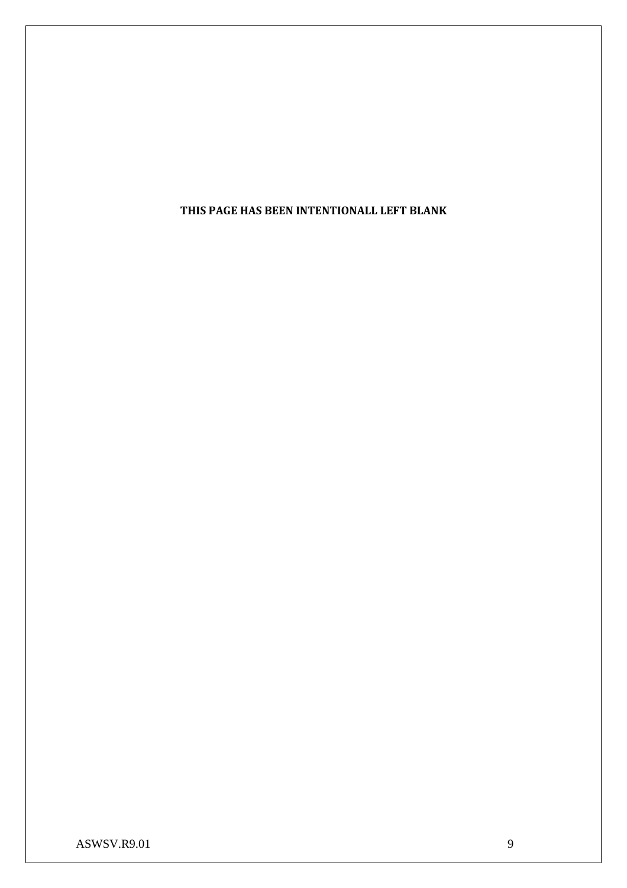**THIS PAGE HAS BEEN INTENTIONALL LEFT BLANK**